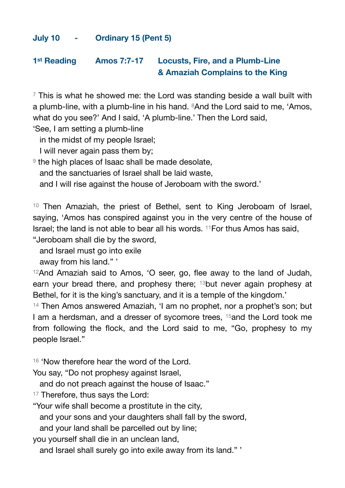## **July 10 - Ordinary 15 (Pent 5)**

## **1st Reading Amos 7:7-17 Locusts, Fire, and a Plumb-Line & Amaziah Complains to the King**

 $7$  This is what he showed me: the Lord was standing beside a wall built with a plumb-line, with a plumb-line in his hand. <sup>8</sup>And the Lord said to me, 'Amos, what do you see?' And I said, 'A plumb-line.' Then the Lord said,

'See, I am setting a plumb-line

in the midst of my people Israel;

I will never again pass them by;

<sup>9</sup> the high places of Isaac shall be made desolate.

and the sanctuaries of Israel shall be laid waste,

and I will rise against the house of Jeroboam with the sword.'

<sup>10</sup> Then Amaziah, the priest of Bethel, sent to King Jeroboam of Israel, saying, 'Amos has conspired against you in the very centre of the house of Israel; the land is not able to bear all his words. 11For thus Amos has said,

"Jeroboam shall die by the sword,

and Israel must go into exile

away from his land." '

12And Amaziah said to Amos, 'O seer, go, flee away to the land of Judah, earn your bread there, and prophesy there; 13but never again prophesy at Bethel, for it is the king's sanctuary, and it is a temple of the kingdom.'

<sup>14</sup> Then Amos answered Amaziah, 'I am no prophet, nor a prophet's son; but I am a herdsman, and a dresser of sycomore trees, 15and the Lord took me from following the flock, and the Lord said to me, "Go, prophesy to my people Israel."

<sup>16</sup> 'Now therefore hear the word of the Lord.

You say, "Do not prophesy against Israel,

and do not preach against the house of Isaac."

<sup>17</sup> Therefore, thus says the Lord:

"Your wife shall become a prostitute in the city,

and your sons and your daughters shall fall by the sword,

and your land shall be parcelled out by line;

you yourself shall die in an unclean land,

and Israel shall surely go into exile away from its land." '